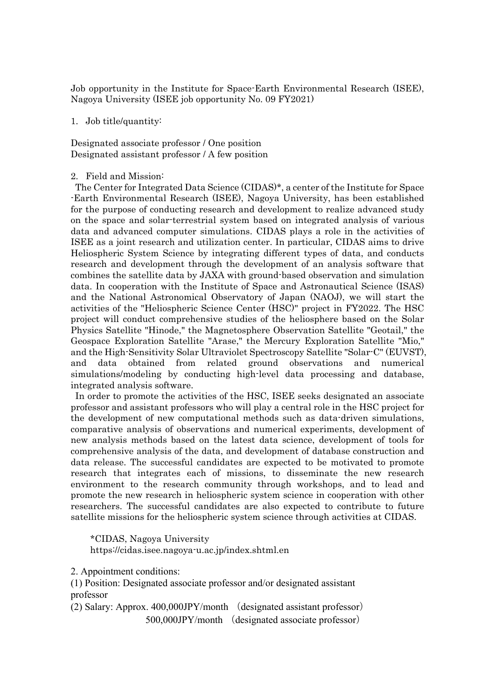Job opportunity in the Institute for Space-Earth Environmental Research (ISEE), Nagoya University (ISEE job opportunity No. 09 FY2021)

## 1. Job title/quantity:

Designated associate professor / One position Designated assistant professor / A few position

## 2. Field and Mission:

The Center for Integrated Data Science (CIDAS)\*, a center of the Institute for Space -Earth Environmental Research (ISEE), Nagoya University, has been established for the purpose of conducting research and development to realize advanced study on the space and solar-terrestrial system based on integrated analysis of various data and advanced computer simulations. CIDAS plays a role in the activities of ISEE as a joint research and utilization center. In particular, CIDAS aims to drive Heliospheric System Science by integrating different types of data, and conducts research and development through the development of an analysis software that combines the satellite data by JAXA with ground-based observation and simulation data. In cooperation with the Institute of Space and Astronautical Science (ISAS) and the National Astronomical Observatory of Japan (NAOJ), we will start the activities of the "Heliospheric Science Center (HSC)" project in FY2022. The HSC project will conduct comprehensive studies of the heliosphere based on the Solar Physics Satellite "Hinode," the Magnetosphere Observation Satellite "Geotail," the Geospace Exploration Satellite "Arase," the Mercury Exploration Satellite "Mio," and the High-Sensitivity Solar Ultraviolet Spectroscopy Satellite "Solar-C" (EUVST), and data obtained from related ground observations and numerical simulations/modeling by conducting high-level data processing and database, integrated analysis software.

In order to promote the activities of the HSC, ISEE seeks designated an associate professor and assistant professors who will play a central role in the HSC project for the development of new computational methods such as data-driven simulations, comparative analysis of observations and numerical experiments, development of new analysis methods based on the latest data science, development of tools for comprehensive analysis of the data, and development of database construction and data release. The successful candidates are expected to be motivated to promote research that integrates each of missions, to disseminate the new research environment to the research community through workshops, and to lead and promote the new research in heliospheric system science in cooperation with other researchers. The successful candidates are also expected to contribute to future satellite missions for the heliospheric system science through activities at CIDAS.

\*CIDAS, Nagoya University

https://cidas.isee.nagoya-u.ac.jp/index.shtml.en

2. Appointment conditions:

(1) Position: Designated associate professor and/or designated assistant professor

(2) Salary: Approx. 400,000JPY/month (designated assistant professor) 500,000JPY/month (designated associate professor)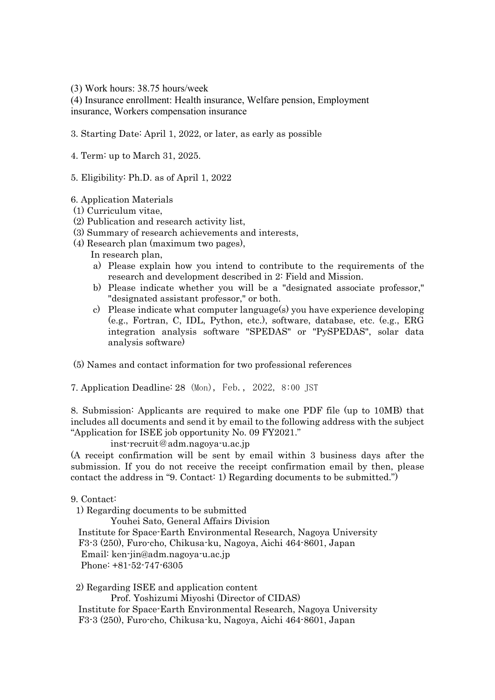(3) Work hours: 38.75 hours/week

(4) Insurance enrollment: Health insurance, Welfare pension, Employment insurance, Workers compensation insurance

3. Starting Date: April 1, 2022, or later, as early as possible

4. Term: up to March 31, 2025.

5. Eligibility: Ph.D. as of April 1, 2022

- 6. Application Materials
- (1) Curriculum vitae,
- (2) Publication and research activity list,
- (3) Summary of research achievements and interests,
- (4) Research plan (maximum two pages),
	- In research plan,
	- a) Please explain how you intend to contribute to the requirements of the research and development described in 2: Field and Mission.
	- b) Please indicate whether you will be a "designated associate professor," "designated assistant professor," or both.
	- c) Please indicate what computer language(s) you have experience developing (e.g., Fortran, C, IDL, Python, etc.), software, database, etc. (e.g., ERG integration analysis software "SPEDAS" or "PySPEDAS", solar data analysis software)

(5) Names and contact information for two professional references

7. Application Deadline: 28 (Mon), Feb., 2022, 8:00 JST

8. Submission: Applicants are required to make one PDF file (up to 10MB) that includes all documents and send it by email to the following address with the subject "Application for ISEE job opportunity No. 09 FY2021."

inst-recruit@adm.nagoya-u.ac.jp

(A receipt confirmation will be sent by email within 3 business days after the submission. If you do not receive the receipt confirmation email by then, please contact the address in "9. Contact: 1) Regarding documents to be submitted.")

## 9. Contact:

1) Regarding documents to be submitted

 Youhei Sato, General Affairs Division Institute for Space-Earth Environmental Research, Nagoya University F3-3 (250), Furo-cho, Chikusa-ku, Nagoya, Aichi 464-8601, Japan Email: ken-jin@adm.nagoya-u.ac.jp Phone: +81-52-747-6305

2) Regarding ISEE and application content

 Prof. Yoshizumi Miyoshi (Director of CIDAS) Institute for Space-Earth Environmental Research, Nagoya University F3-3 (250), Furo-cho, Chikusa-ku, Nagoya, Aichi 464-8601, Japan